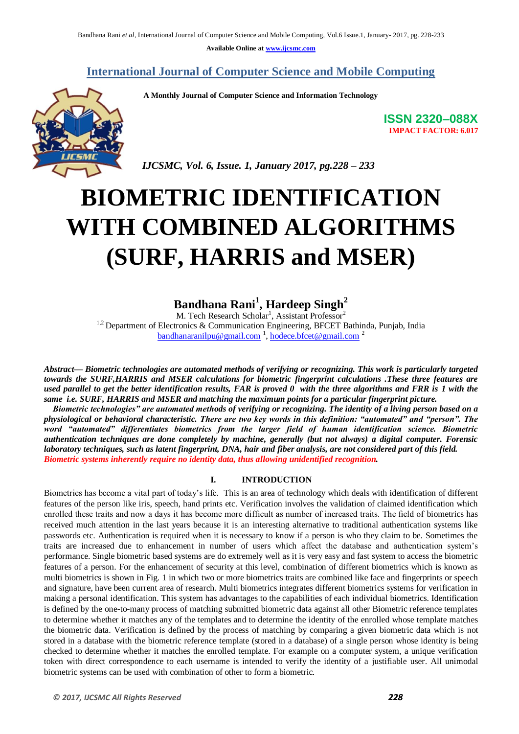**Available Online at www.ijcsmc.com**

#### **International Journal of Computer Science and Mobile Computing**

 **A Monthly Journal of Computer Science and Information Technology**



 *IJCSMC, Vol. 6, Issue. 1, January 2017, pg.228 – 233*

# **BIOMETRIC IDENTIFICATION WITH COMBINED ALGORITHMS (SURF, HARRIS and MSER)**

## **Bandhana Rani<sup>1</sup> , Hardeep Singh<sup>2</sup>**

M. Tech Research Scholar<sup>1</sup>, Assistant Professor<sup>2</sup> <sup>1,2</sup> Department of Electronics & Communication Engineering, BFCET Bathinda, Punjab, India  $bandhanaranilpu@gmail.com<sup>1</sup>, hodece.bfect@gmail.com<sup>2</sup>$ 

*Abstract— Biometric technologies are automated methods of verifying or recognizing. This work is particularly targeted towards the SURF,HARRIS and MSER calculations for biometric fingerprint calculations .These three features are used parallel to get the better identification results, FAR is proved 0 with the three algorithms and FRR is 1 with the same i.e. SURF, HARRIS and MSER and matching the maximum points for a particular fingerprint picture.*

*Biometric technologies‖ are automated methods of verifying or recognizing. The identity of a living person based on a*  physiological or behavioral characteristic. There are two key words in this definition: "automated" and "person". The word "automated" differentiates biometrics from the larger field of human identification science. Biometric *authentication techniques are done completely by machine, generally (but not always) a digital computer. Forensic laboratory techniques, such as latent fingerprint, DNA, hair and fiber analysis, are not considered part of this field. Biometric systems inherently require no identity data, thus allowing unidentified recognition.*

#### **I. INTRODUCTION**

Biometrics has become a vital part of today's life. This is an area of technology which deals with identification of different features of the person like iris, speech, hand prints etc. Verification involves the validation of claimed identification which enrolled these traits and now a days it has become more difficult as number of increased traits. The field of biometrics has received much attention in the last years because it is an interesting alternative to traditional authentication systems like passwords etc. Authentication is required when it is necessary to know if a person is who they claim to be. Sometimes the traits are increased due to enhancement in number of users which affect the database and authentication system's performance. Single biometric based systems are do extremely well as it is very easy and fast system to access the biometric features of a person. For the enhancement of security at this level, combination of different biometrics which is known as multi biometrics is shown in Fig. 1 in which two or more biometrics traits are combined like face and fingerprints or speech and signature, have been current area of research. Multi biometrics integrates different biometrics systems for verification in making a personal identification. This system has advantages to the capabilities of each individual biometrics. Identification is defined by the one-to-many process of matching submitted biometric data against all other Biometric reference templates to determine whether it matches any of the templates and to determine the identity of the enrolled whose template matches the biometric data. Verification is defined by the process of matching by comparing a given biometric data which is not stored in a database with the biometric reference template (stored in a database) of a single person whose identity is being checked to determine whether it matches the enrolled template. For example on a computer system, a unique verification token with direct correspondence to each username is intended to verify the identity of a justifiable user. All unimodal biometric systems can be used with combination of other to form a biometric.

**ISSN 2320–088X IMPACT FACTOR: 6.017**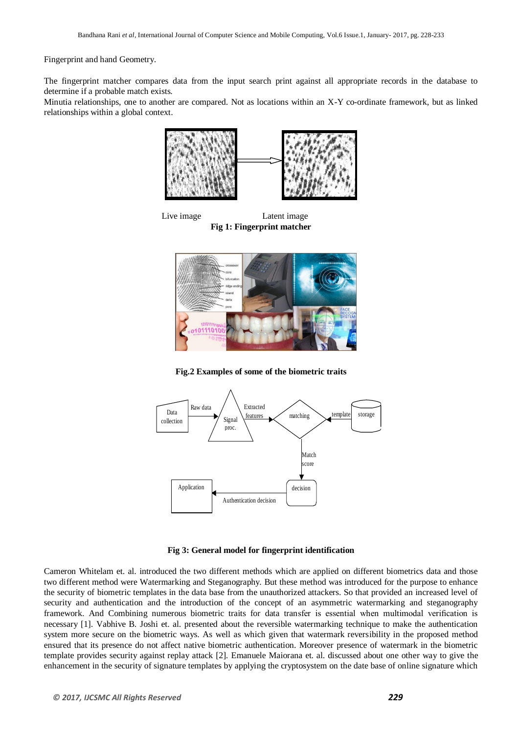Fingerprint and hand Geometry.

The fingerprint matcher compares data from the input search print against all appropriate records in the database to determine if a probable match exists.

Minutia relationships, one to another are compared. Not as locations within an X-Y co-ordinate framework, but as linked relationships within a global context.



Live image Latent image **Fig 1: Fingerprint matcher**



**Fig.2 Examples of some of the biometric traits**



#### **Fig 3: General model for fingerprint identification**

Cameron Whitelam et. al. introduced the two different methods which are applied on different biometrics data and those two different method were Watermarking and Steganography. But these method was introduced for the purpose to enhance the security of biometric templates in the data base from the unauthorized attackers. So that provided an increased level of security and authentication and the introduction of the concept of an asymmetric watermarking and steganography framework. And Combining numerous biometric traits for data transfer is essential when multimodal verification is necessary [1]. Vabhive B. Joshi et. al. presented about the reversible watermarking technique to make the authentication system more secure on the biometric ways. As well as which given that watermark reversibility in the proposed method ensured that its presence do not affect native biometric authentication. Moreover presence of watermark in the biometric template provides security against replay attack [2]. Emanuele Maiorana et. al. discussed about one other way to give the enhancement in the security of signature templates by applying the cryptosystem on the date base of online signature which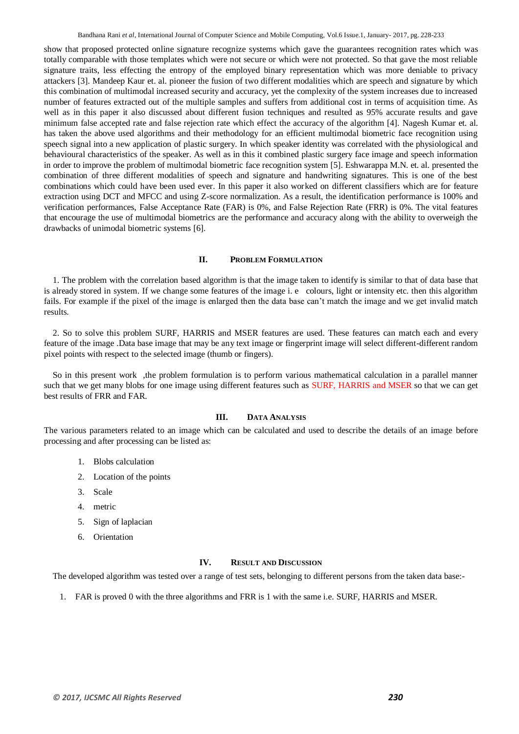Bandhana Rani *et al*, International Journal of Computer Science and Mobile Computing, Vol.6 Issue.1, January- 2017, pg. 228-233

show that proposed protected online signature recognize systems which gave the guarantees recognition rates which was totally comparable with those templates which were not secure or which were not protected. So that gave the most reliable signature traits, less effecting the entropy of the employed binary representation which was more deniable to privacy attackers [3]. Mandeep Kaur et. al. pioneer the fusion of two different modalities which are speech and signature by which this combination of multimodal increased security and accuracy, yet the complexity of the system increases due to increased number of features extracted out of the multiple samples and suffers from additional cost in terms of acquisition time. As well as in this paper it also discussed about different fusion techniques and resulted as 95% accurate results and gave minimum false accepted rate and false rejection rate which effect the accuracy of the algorithm [4]. Nagesh Kumar et. al. has taken the above used algorithms and their methodology for an efficient multimodal biometric face recognition using speech signal into a new application of plastic surgery. In which speaker identity was correlated with the physiological and behavioural characteristics of the speaker. As well as in this it combined plastic surgery face image and speech information in order to improve the problem of multimodal biometric face recognition system [5]. Eshwarappa M.N. et. al. presented the combination of three different modalities of speech and signature and handwriting signatures. This is one of the best combinations which could have been used ever. In this paper it also worked on different classifiers which are for feature extraction using DCT and MFCC and using Z-score normalization. As a result, the identification performance is 100% and verification performances, False Acceptance Rate (FAR) is 0%, and False Rejection Rate (FRR) is 0%. The vital features that encourage the use of multimodal biometrics are the performance and accuracy along with the ability to overweigh the drawbacks of unimodal biometric systems [6].

#### **II. PROBLEM FORMULATION**

1. The problem with the correlation based algorithm is that the image taken to identify is similar to that of data base that is already stored in system. If we change some features of the image i. e colours, light or intensity etc. then this algorithm fails. For example if the pixel of the image is enlarged then the data base can't match the image and we get invalid match results.

2. So to solve this problem SURF, HARRIS and MSER features are used. These features can match each and every feature of the image .Data base image that may be any text image or fingerprint image will select different-different random pixel points with respect to the selected image (thumb or fingers).

So in this present work , the problem formulation is to perform various mathematical calculation in a parallel manner such that we get many blobs for one image using different features such as SURF, HARRIS and MSER so that we can get best results of FRR and FAR.

#### **III. DATA ANALYSIS**

The various parameters related to an image which can be calculated and used to describe the details of an image before processing and after processing can be listed as:

- 1. Blobs calculation
- 2. Location of the points
- 3. Scale
- 4. metric
- 5. Sign of laplacian
- 6. Orientation

#### **IV. RESULT AND DISCUSSION**

The developed algorithm was tested over a range of test sets, belonging to different persons from the taken data base:-

1. FAR is proved 0 with the three algorithms and FRR is 1 with the same i.e. SURF, HARRIS and MSER.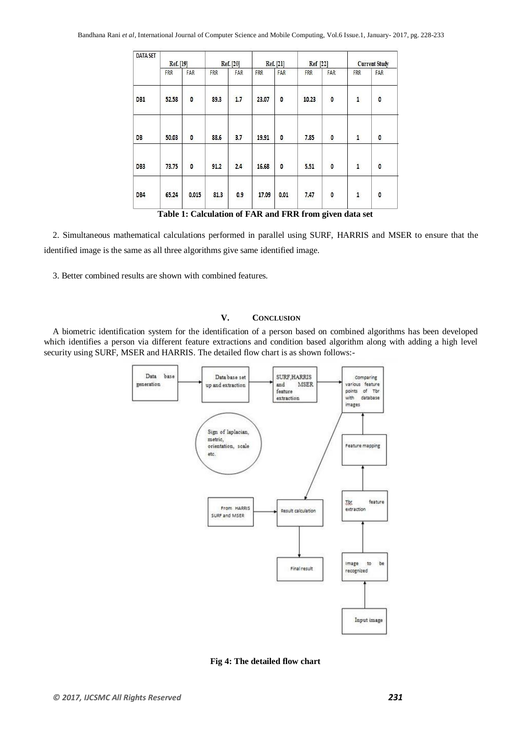| <b>DATA SET</b> | <b>Ref.</b> [19] |              | Ref. [20]  |     | <b>Ref.</b> [21] |                         | Ref [22]     |              | <b>Current Study</b>                       |              |
|-----------------|------------------|--------------|------------|-----|------------------|-------------------------|--------------|--------------|--------------------------------------------|--------------|
|                 | <b>FRR</b>       | FAR          | <b>FRR</b> | FAR | FRR              | FAR                     | <b>FRR</b>   | FAR          | FRR                                        | FAR          |
| DB1             | 52.58            | $\mathbf{0}$ | 89.3       | 1.7 | 23.07            | $\overline{\mathbf{0}}$ | 10.23        | 0            | $\mathbf{1}$                               | $\mathbf{0}$ |
| DB              | 50.03            | 0            | 88.6       | 3.7 | 19.91            | 0                       | 7.85         | 0            | $\mathbf{1}% _{T}\left( \mathbf{1}\right)$ | 0            |
| DB3             | 73.75            | $\mathbf{0}$ | 91.2       | 2.4 | 16.68            | $\mathbf{0}$            | 5.51         | $\mathbf{0}$ | $\mathbf{1}$                               | $\mathbf{0}$ |
| DB4             | 65.24            | 0.015        | 81.3       | 0.9 | 17.09            | 0.01                    | 8838<br>7.47 | 0            | $\mathbf{1}$                               | 0            |

**Table 1: Calculation of FAR and FRR from given data set**

2. Simultaneous mathematical calculations performed in parallel using SURF, HARRIS and MSER to ensure that the identified image is the same as all three algorithms give same identified image.

3. Better combined results are shown with combined features.

#### **V. CONCLUSION**

A biometric identification system for the identification of a person based on combined algorithms has been developed which identifies a person via different feature extractions and condition based algorithm along with adding a high level security using SURF, MSER and HARRIS. The detailed flow chart is as shown follows:-



**Fig 4: The detailed flow chart**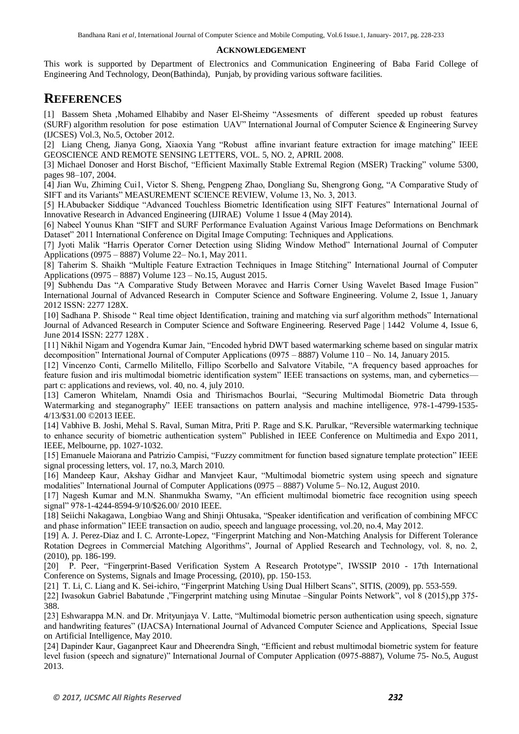#### **ACKNOWLEDGEMENT**

This work is supported by Department of Electronics and Communication Engineering of Baba Farid College of Engineering And Technology, Deon(Bathinda), Punjab, by providing various software facilities.

### **REFERENCES**

[1] Bassem Sheta ,Mohamed Elhabiby and Naser El-Sheimy "Assesments of different speeded up robust features (SURF) algorithm resolution for pose estimation UAV‖ International Journal of Computer Science & Engineering Survey (IJCSES) Vol.3, No.5, October 2012.

[2] Liang Cheng, Jianya Gong, Xiaoxia Yang "Robust affine invariant feature extraction for image matching" IEEE GEOSCIENCE AND REMOTE SENSING LETTERS, VOL. 5, NO. 2, APRIL 2008.

[3] Michael Donoser and Horst Bischof, "Efficient Maximally Stable Extremal Region (MSER) Tracking" volume 5300, pages 98–107, 2004.

[4] Jian Wu, Zhiming Cui1, Victor S. Sheng, Pengpeng Zhao, Dongliang Su, Shengrong Gong, "A Comparative Study of SIFT and its Variants" MEASUREMENT SCIENCE REVIEW, Volume 13, No. 3, 2013.

[5] H.Abubacker Siddique "Advanced Touchless Biometric Identification using SIFT Features" International Journal of Innovative Research in Advanced Engineering (IJIRAE) Volume 1 Issue 4 (May 2014).

[6] Nabeel Younus Khan "SIFT and SURF Performance Evaluation Against Various Image Deformations on Benchmark Dataset" 2011 International Conference on Digital Image Computing: Techniques and Applications.

[7] Jyoti Malik "Harris Operator Corner Detection using Sliding Window Method" International Journal of Computer Applications (0975 – 8887) Volume 22– No.1, May 2011.

[8] Taherim S. Shaikh "Multiple Feature Extraction Techniques in Image Stitching" International Journal of Computer Applications (0975 – 8887) Volume 123 – No.15, August 2015.

[9] Subhendu Das "A Comparative Study Between Moravec and Harris Corner Using Wavelet Based Image Fusion" International Journal of Advanced Research in Computer Science and Software Engineering. Volume 2, Issue 1, January 2012 ISSN: 2277 128X.

[10] Sadhana P. Shisode " Real time object Identification, training and matching via surf algorithm methods" International Journal of Advanced Research in Computer Science and Software Engineering. Reserved Page | 1442 Volume 4, Issue 6, June 2014 ISSN: 2277 128X .

[11] Nikhil Nigam and Yogendra Kumar Jain, "Encoded hybrid DWT based watermarking scheme based on singular matrix decomposition" International Journal of Computer Applications (0975 – 8887) Volume 110 – No. 14, January 2015.

[12] Vincenzo Conti, Carmello Militello, Fillipo Scorbello and Salvatore Vitabile, "A frequency based approaches for feature fusion and iris multimodal biometric identification system" IEEE transactions on systems, man, and cybernetics part c: applications and reviews, vol. 40, no. 4, july 2010.

[13] Cameron Whitelam, Nnamdi Osia and Thirismachos Bourlai, "Securing Multimodal Biometric Data through Watermarking and steganography' IEEE transactions on pattern analysis and machine intelligence, 978-1-4799-1535-4/13/\$31.00 ©2013 IEEE.

[14] Vabhive B. Joshi, Mehal S. Raval, Suman Mitra, Priti P. Rage and S.K. Parulkar, "Reversible watermarking technique to enhance security of biometric authentication system" Published in IEEE Conference on Multimedia and Expo 2011, IEEE, Melbourne, pp. 1027-1032.

[15] Emanuele Maiorana and Patrizio Campisi, "Fuzzy commitment for function based signature template protection" IEEE signal processing letters, vol. 17, no.3, March 2010.

[16] Mandeep Kaur, Akshay Gidhar and Manvjeet Kaur, "Multimodal biometric system using speech and signature modalities" International Journal of Computer Applications (0975 – 8887) Volume 5– No.12, August 2010.

[17] Nagesh Kumar and M.N. Shanmukha Swamy, "An efficient multimodal biometric face recognition using speech signal" 978-1-4244-8594-9/10/\$26.00/ 2010 IEEE.

[18] Seiichi Nakagawa, Longbiao Wang and Shinji Ohtusaka, "Speaker identification and verification of combining MFCC and phase information" IEEE transaction on audio, speech and language processing, vol. 20, no. 4, May 2012.

[19] A. J. Perez-Diaz and I. C. Arronte-Lopez, "Fingerprint Matching and Non-Matching Analysis for Different Tolerance Rotation Degrees in Commercial Matching Algorithms", Journal of Applied Research and Technology, vol. 8, no. 2, (2010), pp. 186-199.

[20] P. Peer, "Fingerprint-Based Verification System A Research Prototype", IWSSIP 2010 - 17th International Conference on Systems, Signals and Image Processing, (2010), pp. 150-153.

[21] T. Li, C. Liang and K. Sei-ichiro, "Fingerprint Matching Using Dual Hilbert Scans", SITIS, (2009), pp. 553-559.

[22] Iwasokun Gabriel Babatunde ,"Fingerprint matching using Minutae –Singular Points Network", vol 8 (2015),pp 375-388.

[23] Eshwarappa M.N. and Dr. Mrityunjaya V. Latte, "Multimodal biometric person authentication using speech, signature and handwriting features" (IJACSA) International Journal of Advanced Computer Science and Applications, Special Issue on Artificial Intelligence, May 2010.

[24] Dapinder Kaur, Gaganpreet Kaur and Dheerendra Singh, "Efficient and rebust multimodal biometric system for feature level fusion (speech and signature)" International Journal of Computer Application (0975-8887), Volume 75- No.5, August 2013.